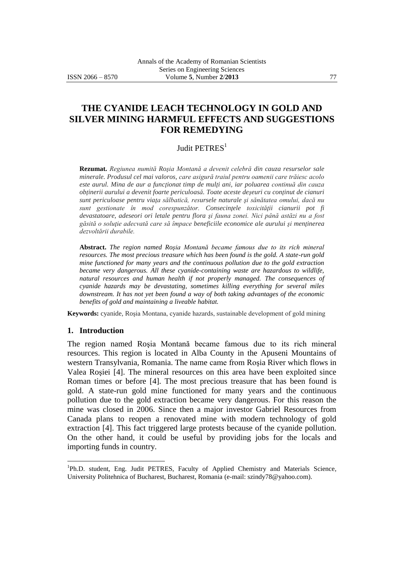# **THE CYANIDE LEACH TECHNOLOGY IN GOLD AND SILVER MINING HARMFUL EFFECTS AND SUGGESTIONS FOR REMEDYING**

## Judit PETRES<sup>1</sup>

**Rezumat.** *Regiunea numită Roşia Montană a devenit celebră din cauza resurselor sale minerale. Produsul cel mai valoros, care asigură traiul pentru oamenii care trăiesc acolo este aurul. Mina de aur a funcţionat timp de mulţi ani, iar poluarea continuă din cauza obţinerii aurului a devenit foarte periculoasă. Toate aceste deşeuri cu conţinut de cianuri sunt periculoase pentru viaţa sălbatică, resursele naturale şi sănătatea omului, dacă nu sunt gestionate în mod corespunzător. Consecinţele toxicităţii cianurii pot fi devastatoare, adeseori ori letale pentru flora şi fauna zonei. Nici până astăzi nu a fost găsită o soluţie adecvată care să împace beneficiile economice ale aurului şi menţinerea dezvoltării durabile.*

**Abstract.** *The region named Roşia Montană became famous due to its rich mineral resources. The most precious treasure which has been found is the gold. A state-run gold mine functioned for many years and the continuous pollution due to the gold extraction became very dangerous. All these cyanide-containing waste are hazardous to wildlife, natural resources and human health if not properly managed. The consequences of cyanide hazards may be devastating, sometimes killing everything for several miles downstream. It has not yet been found a way of both taking advantages of the economic benefits of gold and maintaining a liveable habitat.*

**Keywords:** cyanide, Roşia Montana, cyanide hazards, sustainable development of gold mining

#### **1. Introduction**

 $\overline{a}$ 

The region named Roşia Montană became famous due to its rich mineral resources. This region is located in Alba County in the Apuseni Mountains of western Transylvania, Romania. The name came from Roşia River which flows in Valea Roşiei [4]. The mineral resources on this area have been exploited since Roman times or before [4]. The most precious treasure that has been found is gold. A state-run gold mine functioned for many years and the continuous pollution due to the gold extraction became very dangerous. For this reason the mine was closed in 2006. Since then a major investor Gabriel Resources from Canada plans to reopen a renovated mine with modern technology of gold extraction [4]. This fact triggered large protests because of the cyanide pollution. On the other hand, it could be useful by providing jobs for the locals and importing funds in country.

<sup>&</sup>lt;sup>1</sup>Ph.D. student, Eng. Judit PETRES, Faculty of Applied Chemistry and Materials Science, University Politehnica of Bucharest, Bucharest, Romania (e-mail: [szindy7](mailto:xxxxxxxx@xxxxx.xxx)8@yahoo.com).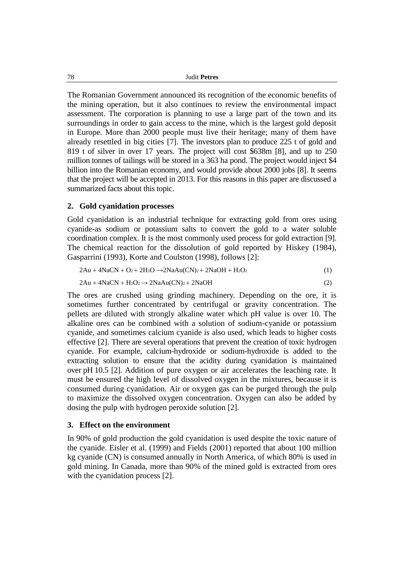78 Judit **Petres**

The Romanian Government announced its recognition of the economic benefits of the mining operation, but it also continues to review the environmental impact assessment. The corporation is planning to use a large part of the town and its surroundings in order to gain access to the mine, which is the largest gold deposit in Europe. More than 2000 people must live their heritage; many of them have already resettled in big cities [7]. The investors plan to produce 225 t of gold and 819 t of silver in over 17 years. The project will cost \$638m [8], and up to 250 million tonnes of tailings will be stored in a 363 ha pond. The project would inject \$4 billion into the Romanian economy, and would provide about 2000 jobs [8]. It seems that the project will be accepted in 2013. For this reasons in this paper are discussed a summarized facts about this topic.

## **2. Gold cyanidation processes**

Gold cyanidation is an industrial technique for extracting gold from ores using cyanide-as sodium or potassium salts to convert the gold to a water soluble coordination complex. It is the most commonly used process for gold extraction [9]. The chemical reaction for the dissolution of gold reported by Hiskey (1984), Gasparrini (1993), Korte and Coulston (1998), follows [2]:

$$
2Au + 4NaCN + O2 + 2H2O \rightarrow 2NaAu(CN)2 + 2NaOH + H2O2
$$
 (1)

$$
2Au + 4NaCN + H_2O_2 \rightarrow 2NaAu(CN)_2 + 2NaOH
$$
 (2)

The ores are crushed using grinding machinery. Depending on the ore, it is sometimes further concentrated by centrifugal or gravity concentration. The pellets are diluted with strongly alkaline water which pH value is over 10. The alkaline ores can be combined with a solution of sodium-cyanide or potassium cyanide, and sometimes calcium cyanide is also used, which leads to higher costs effective [2]. There are several operations that prevent the creation of toxic hydrogen cyanide. For example, calcium-hydroxide or sodium-hydroxide is added to the extracting solution to ensure that the acidity during cyanidation is maintained over pH 10.5 [2]. Addition of pure oxygen or air accelerates the leaching rate. It must be ensured the high level of dissolved oxygen in the mixtures, because it is consumed during cyanidation. Air or oxygen gas can be purged through the pulp to maximize the dissolved oxygen concentration. Oxygen can also be added by dosing the pulp with hydrogen peroxide solution [2].

#### **3. Effect on the environment**

In 90% of gold production the gold cyanidation is used despite the toxic nature of the cyanide. Eisler et al. (1999) and Fields (2001) reported that about 100 million kg cyanide (CN) is consumed annually in North America, of which 80% is used in gold mining. In Canada, more than 90% of the mined gold is extracted from ores with the cyanidation process [2].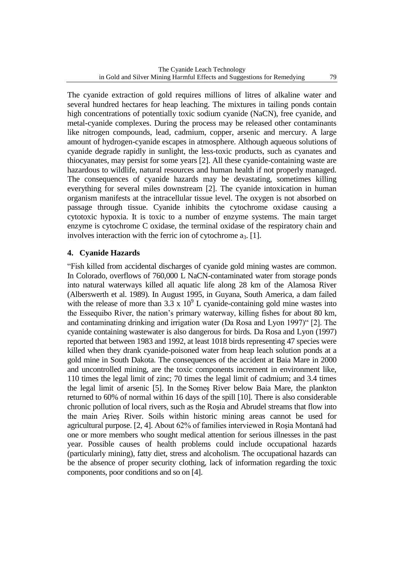The cyanide extraction of gold requires millions of litres of alkaline water and several hundred hectares for heap leaching. The mixtures in tailing ponds contain high concentrations of potentially toxic sodium cyanide (NaCN), free cyanide, and metal-cyanide complexes. During the process may be released other contaminants like nitrogen compounds, lead, cadmium, copper, arsenic and mercury. A large amount of hydrogen-cyanide escapes in atmosphere. Although aqueous solutions of cyanide degrade rapidly in sunlight, the less-toxic products, such as cyanates and thiocyanates, may persist for some years [2]. All these cyanide-containing waste are hazardous to wildlife, natural resources and human health if not properly managed. The consequences of cyanide hazards may be devastating, sometimes killing everything for several miles downstream [2]. The cyanide intoxication in human organism manifests at the intracellular tissue level. The oxygen is not absorbed on passage through tissue. Cyanide inhibits the cytochrome oxidase causing a cytotoxic hypoxia. It is toxic to a number of enzyme systems. The main target enzyme is cytochrome C oxidase, the terminal oxidase of the respiratory chain and involves interaction with the ferric ion of cytochrome  $a_3$ . [1].

# **4. Cyanide Hazards**

"Fish killed from accidental discharges of cyanide gold mining wastes are common. In Colorado, overflows of 760,000 L NaCN-contaminated water from storage ponds into natural waterways killed all aquatic life along 28 km of the Alamosa River (Alberswerth et al. 1989). In August 1995, in Guyana, South America, a dam failed with the release of more than  $3.3 \times 10^9$  L cyanide-containing gold mine wastes into the Essequibo River, the nation's primary waterway, killing fishes for about 80 km, and contaminating drinking and irrigation water (Da Rosa and Lyon 1997)" [2]. The cyanide containing wastewater is also dangerous for birds. Da Rosa and Lyon (1997) reported that between 1983 and 1992, at least 1018 birds representing 47 species were killed when they drank cyanide-poisoned water from heap leach solution ponds at a gold mine in South Dakota. The consequences of the accident at Baia Mare in 2000 and uncontrolled mining, are the toxic components increment in environment like, 110 times the legal limit of zinc; 70 times the legal limit of cadmium; and 3.4 times the legal limit of arsenic [5]. In the Someş River below Baia Mare, the plankton returned to 60% of normal within 16 days of the spill [10]. There is also considerable chronic pollution of local rivers, such as the Roşia and Abrudel streams that flow into the main Arieş River. Soils within historic mining areas cannot be used for agricultural purpose. [2, 4]. About 62% of families interviewed in Roşia Montană had one or more members who sought medical attention for serious illnesses in the past year. Possible causes of health problems could include occupational hazards (particularly mining), fatty diet, stress and alcoholism. The occupational hazards can be the absence of proper security clothing, lack of information regarding the toxic components, poor conditions and so on [4].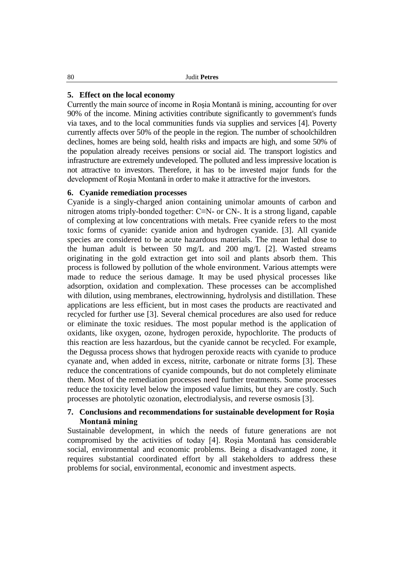#### **5. Effect on the local economy**

Currently the main source of income in Roşia Montană is mining, accounting for over 90% of the income. Mining activities contribute significantly to government's funds via taxes, and to the local communities funds via supplies and services [4]. Poverty currently affects over 50% of the people in the region. The number of schoolchildren declines, homes are being sold, health risks and impacts are high, and some 50% of the population already receives pensions or social aid. The transport logistics and infrastructure are extremely undeveloped. The polluted and less impressive location is not attractive to investors. Therefore, it has to be invested major funds for the development of Roşia Montană in order to make it attractive for the investors.

## **6. Cyanide remediation processes**

Cyanide is a singly-charged anion containing unimolar amounts of carbon and nitrogen atoms triply-bonded together: C≡N- or CN-. It is a strong ligand, capable of complexing at low concentrations with metals. Free cyanide refers to the most toxic forms of cyanide: cyanide anion and hydrogen cyanide. [3]. All cyanide species are considered to be acute hazardous materials. The mean lethal dose to the human adult is between 50 mg/L and 200 mg/L [2]. Wasted streams originating in the gold extraction get into soil and plants absorb them. This process is followed by pollution of the whole environment. Various attempts were made to reduce the serious damage. It may be used physical processes like adsorption, oxidation and complexation. These processes can be accomplished with dilution, using membranes, electrowinning, hydrolysis and distillation. These applications are less efficient, but in most cases the products are reactivated and recycled for further use [3]. Several chemical procedures are also used for reduce or eliminate the toxic residues. The most popular method is the application of oxidants, like oxygen, ozone, hydrogen peroxide, hypochlorite. The products of this reaction are less hazardous, but the cyanide cannot be recycled. For example, the Degussa process shows that hydrogen peroxide reacts with cyanide to produce cyanate and, when added in excess, nitrite, carbonate or nitrate forms [3]. These reduce the concentrations of cyanide compounds, but do not completely eliminate them. Most of the remediation processes need further treatments. Some processes reduce the toxicity level below the imposed value limits, but they are costly. Such processes are photolytic ozonation, electrodialysis, and reverse osmosis [3].

## **7. Conclusions and recommendations for sustainable development for Roşia Montană mining**

Sustainable development, in which the needs of future generations are not compromised by the activities of today [4]. Roşia Montană has considerable social, environmental and economic problems. Being a disadvantaged zone, it requires substantial coordinated effort by all stakeholders to address these problems for social, environmental, economic and investment aspects.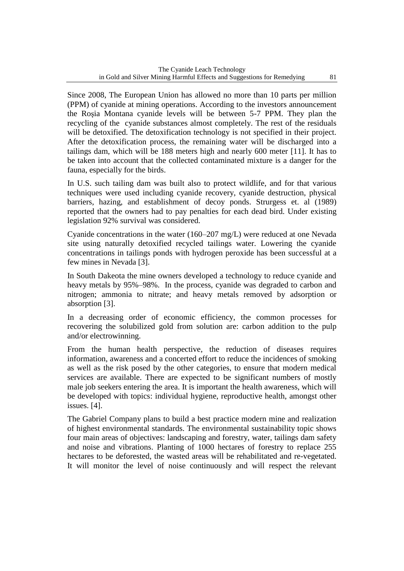Since 2008, The European Union has allowed no more than 10 parts per million (PPM) of cyanide at mining operations. According to the investors announcement the Roşia Montana cyanide levels will be between 5-7 PPM. They plan the recycling of the cyanide substances almost completely. The rest of the residuals will be detoxified. The detoxification technology is not specified in their project. After the detoxification process, the remaining water will be discharged into a tailings dam, which will be 188 meters high and nearly 600 meter [11]. It has to be taken into account that the collected contaminated mixture is a danger for the fauna, especially for the birds.

In U.S. such tailing dam was built also to protect wildlife, and for that various techniques were used including cyanide recovery, cyanide destruction, physical barriers, hazing, and establishment of decoy ponds. Strurgess et. al (1989) reported that the owners had to pay penalties for each dead bird. Under existing legislation 92% survival was considered.

Cyanide concentrations in the water (160–207 mg/L) were reduced at one Nevada site using naturally detoxified recycled tailings water. Lowering the cyanide concentrations in tailings ponds with hydrogen peroxide has been successful at a few mines in Nevada [3].

In South Dakeota the mine owners developed a technology to reduce cyanide and heavy metals by 95%–98%. In the process, cyanide was degraded to carbon and nitrogen; ammonia to nitrate; and heavy metals removed by adsorption or absorption [3].

In a decreasing order of economic efficiency, the common processes for recovering the solubilized gold from solution are: carbon addition to the pulp and/or electrowinning.

From the human health perspective, the reduction of diseases requires information, awareness and a concerted effort to reduce the incidences of smoking as well as the risk posed by the other categories, to ensure that modern medical services are available. There are expected to be significant numbers of mostly male job seekers entering the area. It is important the health awareness, which will be developed with topics: individual hygiene, reproductive health, amongst other issues. [4].

The Gabriel Company plans to build a best practice modern mine and realization of highest environmental standards. The environmental sustainability topic shows four main areas of objectives: landscaping and forestry, water, tailings dam safety and noise and vibrations. Planting of 1000 hectares of forestry to replace 255 hectares to be deforested, the wasted areas will be rehabilitated and re-vegetated. It will monitor the level of noise continuously and will respect the relevant